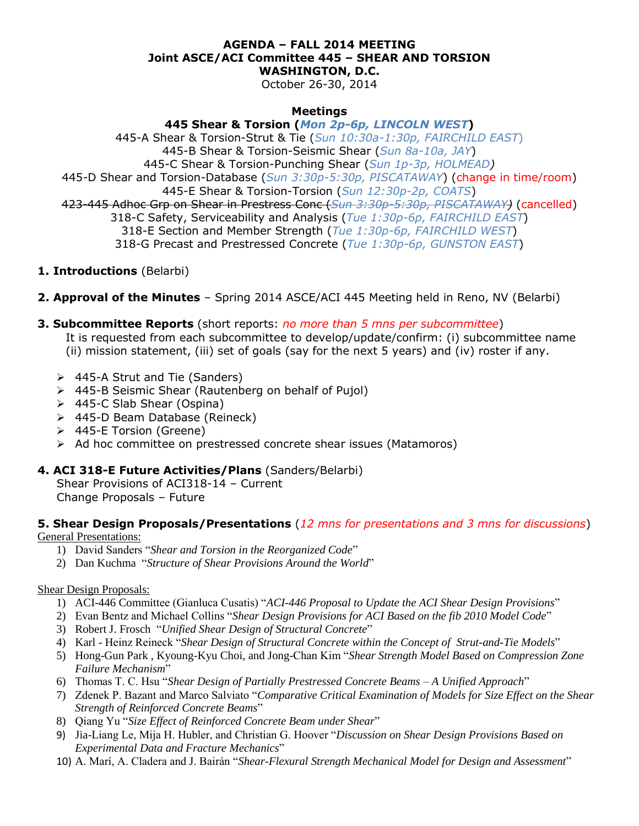#### **AGENDA – FALL 2014 MEETING Joint ASCE/ACI Committee 445 – SHEAR AND TORSION WASHINGTON, D.C.**

October 26-30, 2014

#### **Meetings**

**445 Shear & Torsion (***Mon 2p-6p, LINCOLN WEST***)** 445-A Shear & Torsion-Strut & Tie (*Sun 10:30a-1:30p, FAIRCHILD EAST*) 445-B Shear & Torsion-Seismic Shear (*Sun 8a-10a, JAY*) 445-C Shear & Torsion-Punching Shear (*Sun 1p-3p, HOLMEAD)* 445-D Shear and Torsion-Database (*Sun 3:30p-5:30p, PISCATAWAY*) (change in time/room) 445-E Shear & Torsion-Torsion (*Sun 12:30p-2p, COATS*) 423-445 Adhoc Grp on Shear in Prestress Conc (*Sun 3:30p-5:30p, PISCATAWAY)* (cancelled) 318-C Safety, Serviceability and Analysis (*Tue 1:30p-6p, FAIRCHILD EAST*) 318-E Section and Member Strength (*Tue 1:30p-6p, FAIRCHILD WEST*) 318-G Precast and Prestressed Concrete (*Tue 1:30p-6p, GUNSTON EAST*)

- **1. Introductions** (Belarbi)
- **2. Approval of the Minutes** Spring 2014 ASCE/ACI 445 Meeting held in Reno, NV (Belarbi)
- **3. Subcommittee Reports** (short reports: *no more than 5 mns per subcommittee*)
	- It is requested from each subcommittee to develop/update/confirm: (i) subcommittee name (ii) mission statement, (iii) set of goals (say for the next 5 years) and (iv) roster if any.
	- 445-A Strut and Tie (Sanders)
	- 445-B Seismic Shear (Rautenberg on behalf of Pujol)
	- 445-C Slab Shear (Ospina)
	- 445-D Beam Database (Reineck)
	- 445-E Torsion (Greene)
	- > Ad hoc committee on prestressed concrete shear issues (Matamoros)

#### **4. ACI 318-E Future Activities/Plans** (Sanders/Belarbi)

Shear Provisions of ACI318-14 – Current Change Proposals – Future

# **5. Shear Design Proposals/Presentations** (*12 mns for presentations and 3 mns for discussions*)

General Presentations:

- 1) David Sanders "*Shear and Torsion in the Reorganized Code*"
- 2) Dan Kuchma "*Structure of Shear Provisions Around the World*"

#### Shear Design Proposals:

- 1) ACI-446 Committee (Gianluca Cusatis) "*ACI-446 Proposal to Update the ACI Shear Design Provisions*"
- 2) Evan Bentz and Michael Collins "*Shear Design Provisions for ACI Based on the fib 2010 Model Code*"
- 3) Robert J. Frosch "*Unified Shear Design of Structural Concrete*"
- 4) Karl Heinz Reineck "*Shear Design of Structural Concrete within the Concept of Strut-and-Tie Models*"
- 5) Hong-Gun Park , Kyoung-Kyu Choi, and Jong-Chan Kim "*Shear Strength Model Based on Compression Zone Failure Mechanism*"
- 6) Thomas T. C. Hsu "*Shear Design of Partially Prestressed Concrete Beams – A Unified Approach*"
- 7) Zdenek P. Bazant and Marco Salviato "*Comparative Critical Examination of Models for Size Effect on the Shear Strength of Reinforced Concrete Beams*"
- 8) Qiang Yu "*Size Effect of Reinforced Concrete Beam under Shear*"
- 9) Jia-Liang Le, Mija H. Hubler, and Christian G. Hoover "*Discussion on Shear Design Provisions Based on Experimental Data and Fracture Mechanics*"
- 10) A. Marí, A. Cladera and J. Bairán "*Shear-Flexural Strength Mechanical Model for Design and Assessment*"